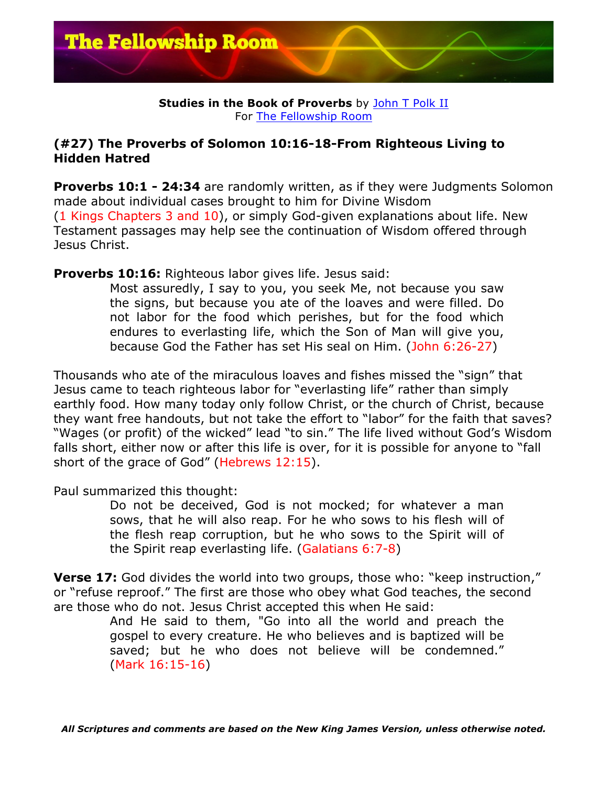

**Studies in the Book of Proverbs** by John T Polk II For The Fellowship Room

## **(#27) The Proverbs of Solomon 10:16-18-From Righteous Living to Hidden Hatred**

**Proverbs 10:1 - 24:34** are randomly written, as if they were Judgments Solomon made about individual cases brought to him for Divine Wisdom (1 Kings Chapters 3 and 10), or simply God-given explanations about life. New Testament passages may help see the continuation of Wisdom offered through Jesus Christ.

**Proverbs 10:16:** Righteous labor gives life. Jesus said:

Most assuredly, I say to you, you seek Me, not because you saw the signs, but because you ate of the loaves and were filled. Do not labor for the food which perishes, but for the food which endures to everlasting life, which the Son of Man will give you, because God the Father has set His seal on Him. (John 6:26-27)

Thousands who ate of the miraculous loaves and fishes missed the "sign" that Jesus came to teach righteous labor for "everlasting life" rather than simply earthly food. How many today only follow Christ, or the church of Christ, because they want free handouts, but not take the effort to "labor" for the faith that saves? "Wages (or profit) of the wicked" lead "to sin." The life lived without God's Wisdom falls short, either now or after this life is over, for it is possible for anyone to "fall short of the grace of God" (Hebrews 12:15).

Paul summarized this thought:

Do not be deceived, God is not mocked; for whatever a man sows, that he will also reap. For he who sows to his flesh will of the flesh reap corruption, but he who sows to the Spirit will of the Spirit reap everlasting life. (Galatians 6:7-8)

**Verse 17:** God divides the world into two groups, those who: "keep instruction," or "refuse reproof." The first are those who obey what God teaches, the second are those who do not. Jesus Christ accepted this when He said:

And He said to them, "Go into all the world and preach the gospel to every creature. He who believes and is baptized will be saved; but he who does not believe will be condemned." (Mark 16:15-16)